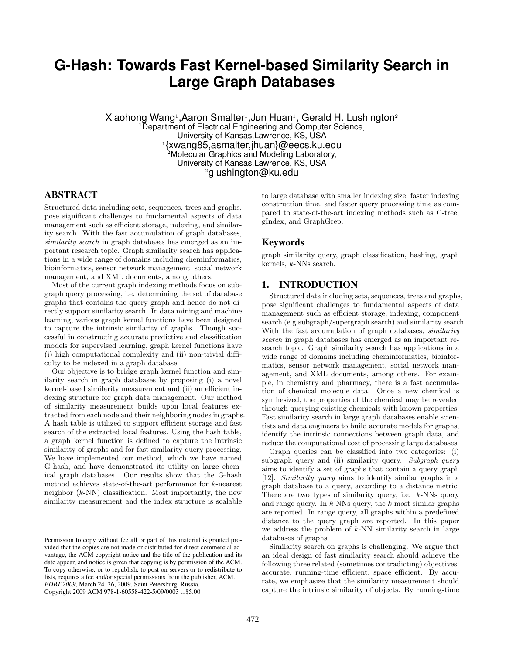# **G-Hash: Towards Fast Kernel-based Similarity Search in Large Graph Databases**

Xiaohong Wang<sup>1</sup>, Aaron Smalter<sup>1</sup>, Jun Huan<sup>1</sup>, Gerald H. Lushington<sup>2</sup> <sup>1</sup>Department of Electrical Engineering and Computer Science, University of Kansas,Lawrence, KS, USA 1 {xwang85,asmalter,jhuan}@eecs.ku.edu Molecular Graphics and Modeling Laboratory, University of Kansas,Lawrence, KS, USA <sup>2</sup>glushington@ku.edu

## ABSTRACT

Structured data including sets, sequences, trees and graphs, pose significant challenges to fundamental aspects of data management such as efficient storage, indexing, and similarity search. With the fast accumulation of graph databases, similarity search in graph databases has emerged as an important research topic. Graph similarity search has applications in a wide range of domains including cheminformatics, bioinformatics, sensor network management, social network management, and XML documents, among others.

Most of the current graph indexing methods focus on subgraph query processing, i.e. determining the set of database graphs that contains the query graph and hence do not directly support similarity search. In data mining and machine learning, various graph kernel functions have been designed to capture the intrinsic similarity of graphs. Though successful in constructing accurate predictive and classification models for supervised learning, graph kernel functions have (i) high computational complexity and (ii) non-trivial difficulty to be indexed in a graph database.

Our objective is to bridge graph kernel function and similarity search in graph databases by proposing (i) a novel kernel-based similarity measurement and (ii) an efficient indexing structure for graph data management. Our method of similarity measurement builds upon local features extracted from each node and their neighboring nodes in graphs. A hash table is utilized to support efficient storage and fast search of the extracted local features. Using the hash table, a graph kernel function is defined to capture the intrinsic similarity of graphs and for fast similarity query processing. We have implemented our method, which we have named G-hash, and have demonstrated its utility on large chemical graph databases. Our results show that the G-hash method achieves state-of-the-art performance for k-nearest neighbor  $(k-NN)$  classification. Most importantly, the new similarity measurement and the index structure is scalable

to large database with smaller indexing size, faster indexing construction time, and faster query processing time as compared to state-of-the-art indexing methods such as C-tree, gIndex, and GraphGrep.

## Keywords

graph similarity query, graph classification, hashing, graph kernels, k-NNs search.

## 1. INTRODUCTION

Structured data including sets, sequences, trees and graphs, pose significant challenges to fundamental aspects of data management such as efficient storage, indexing, component search (e.g.subgraph/supergraph search) and similarity search. With the fast accumulation of graph databases, *similarity* search in graph databases has emerged as an important research topic. Graph similarity search has applications in a wide range of domains including cheminformatics, bioinformatics, sensor network management, social network management, and XML documents, among others. For example, in chemistry and pharmacy, there is a fast accumulation of chemical molecule data. Once a new chemical is synthesized, the properties of the chemical may be revealed through querying existing chemicals with known properties. Fast similarity search in large graph databases enable scientists and data engineers to build accurate models for graphs, identify the intrinsic connections between graph data, and reduce the computational cost of processing large databases.

Graph queries can be classified into two categories: (i) subgraph query and (ii) similarity query. Subgraph query aims to identify a set of graphs that contain a query graph [12]. Similarity query aims to identify similar graphs in a graph database to a query, according to a distance metric. There are two types of similarity query, i.e.  $k$ -NNs query and range query. In  $k$ -NNs query, the  $k$  most similar graphs are reported. In range query, all graphs within a predefined distance to the query graph are reported. In this paper we address the problem of  $k$ -NN similarity search in large databases of graphs.

Similarity search on graphs is challenging. We argue that an ideal design of fast similarity search should achieve the following three related (sometimes contradicting) objectives: accurate, running-time efficient, space efficient. By accurate, we emphasize that the similarity measurement should capture the intrinsic similarity of objects. By running-time

Permission to copy without fee all or part of this material is granted provided that the copies are not made or distributed for direct commercial advantage, the ACM copyright notice and the title of the publication and its date appear, and notice is given that copying is by permission of the ACM. To copy otherwise, or to republish, to post on servers or to redistribute to lists, requires a fee and/or special permissions from the publisher, ACM. *EDBT 2009*, March 24–26, 2009, Saint Petersburg, Russia. Copyright 2009 ACM 978-1-60558-422-5/09/0003 ...\$5.00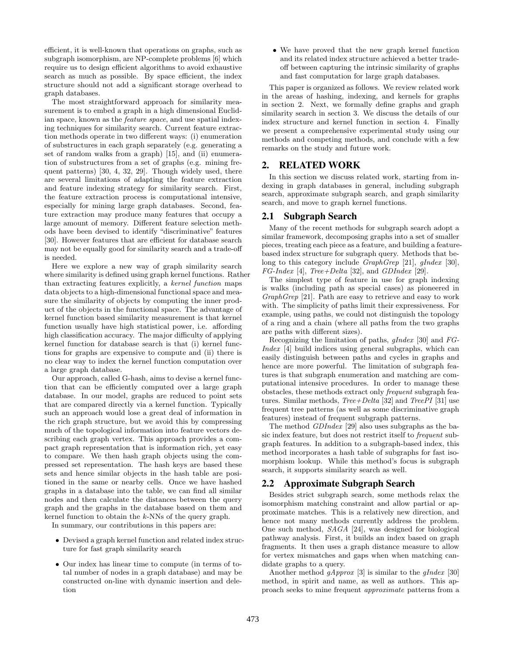efficient, it is well-known that operations on graphs, such as subgraph isomorphism, are NP-complete problems [6] which require us to design efficient algorithms to avoid exhaustive search as much as possible. By space efficient, the index structure should not add a significant storage overhead to graph databases.

The most straightforward approach for similarity measurement is to embed a graph in a high dimensional Euclidian space, known as the feature space, and use spatial indexing techniques for similarity search. Current feature extraction methods operate in two different ways: (i) enumeration of substructures in each graph separately (e.g. generating a set of random walks from a graph) [15], and (ii) enumeration of substructures from a set of graphs (e.g. mining frequent patterns) [30, 4, 32, 29]. Though widely used, there are several limitations of adapting the feature extraction and feature indexing strategy for similarity search. First, the feature extraction process is computational intensive, especially for mining large graph databases. Second, feature extraction may produce many features that occupy a large amount of memory. Different feature selection methods have been devised to identify "discriminative" features [30]. However features that are efficient for database search may not be equally good for similarity search and a trade-off is needed.

Here we explore a new way of graph similarity search where similarity is defined using graph kernel functions. Rather than extracting features explicitly, a kernel function maps data objects to a high-dimensional functional space and measure the similarity of objects by computing the inner product of the objects in the functional space. The advantage of kernel function based similarity measurement is that kernel function usually have high statistical power, i.e. affording high classification accuracy. The major difficulty of applying kernel function for database search is that (i) kernel functions for graphs are expensive to compute and (ii) there is no clear way to index the kernel function computation over a large graph database.

Our approach, called G-hash, aims to devise a kernel function that can be efficiently computed over a large graph database. In our model, graphs are reduced to point sets that are compared directly via a kernel function. Typically such an approach would lose a great deal of information in the rich graph structure, but we avoid this by compressing much of the topological information into feature vectors describing each graph vertex. This approach provides a compact graph representation that is information rich, yet easy to compare. We then hash graph objects using the compressed set representation. The hash keys are based these sets and hence similar objects in the hash table are positioned in the same or nearby cells. Once we have hashed graphs in a database into the table, we can find all similar nodes and then calculate the distances between the query graph and the graphs in the database based on them and kernel function to obtain the k-NNs of the query graph.

In summary, our contributions in this papers are:

- Devised a graph kernel function and related index structure for fast graph similarity search
- Our index has linear time to compute (in terms of total number of nodes in a graph database) and may be constructed on-line with dynamic insertion and deletion

• We have proved that the new graph kernel function and its related index structure achieved a better tradeoff between capturing the intrinsic similarity of graphs and fast computation for large graph databases.

This paper is organized as follows. We review related work in the areas of hashing, indexing, and kernels for graphs in section 2. Next, we formally define graphs and graph similarity search in section 3. We discuss the details of our index structure and kernel function in section 4. Finally we present a comprehensive experimental study using our methods and competing methods, and conclude with a few remarks on the study and future work.

## 2. RELATED WORK

In this section we discuss related work, starting from indexing in graph databases in general, including subgraph search, approximate subgraph search, and graph similarity search, and move to graph kernel functions.

#### 2.1 Subgraph Search

Many of the recent methods for subgraph search adopt a similar framework, decomposing graphs into a set of smaller pieces, treating each piece as a feature, and building a featurebased index structure for subgraph query. Methods that belong to this category include GraphGrep [21], gIndex [30],  $FG\text{-}Index [4], Tree\text{-}Delta [32], and GDIndex [29].$ 

The simplest type of feature in use for graph indexing is walks (including path as special cases) as pioneered in GraphGrep [21]. Path are easy to retrieve and easy to work with. The simplicity of paths limit their expressiveness. For example, using paths, we could not distinguish the topology of a ring and a chain (where all paths from the two graphs are paths with different sizes).

Recognizing the limitation of paths, gIndex [30] and FG-Index [4] build indices using general subgraphs, which can easily distinguish between paths and cycles in graphs and hence are more powerful. The limitation of subgraph features is that subgraph enumeration and matching are computational intensive procedures. In order to manage these obstacles, these methods extract only frequent subgraph features. Similar methods, Tree+Delta [32] and TreePI [31] use frequent tree patterns (as well as some discriminative graph features) instead of frequent subgraph patterns.

The method GDIndex [29] also uses subgraphs as the basic index feature, but does not restrict itself to frequent subgraph features. In addition to a subgraph-based index, this method incorporates a hash table of subgraphs for fast isomorphism lookup. While this method's focus is subgraph search, it supports similarity search as well.

## 2.2 Approximate Subgraph Search

Besides strict subgraph search, some methods relax the isomorphism matching constraint and allow partial or approximate matches. This is a relatively new direction, and hence not many methods currently address the problem. One such method, SAGA [24], was designed for biological pathway analysis. First, it builds an index based on graph fragments. It then uses a graph distance measure to allow for vertex mismatches and gaps when when matching candidate graphs to a query.

Another method  $gApprox$  [3] is similar to the  $gIndex$  [30] method, in spirit and name, as well as authors. This approach seeks to mine frequent approximate patterns from a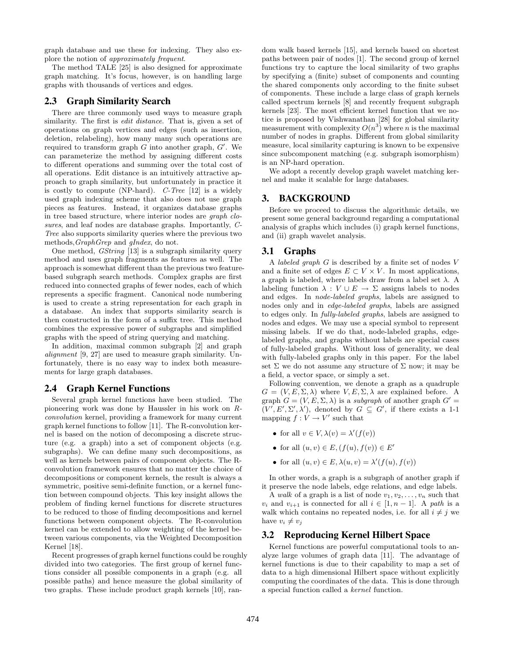graph database and use these for indexing. They also explore the notion of approximately frequent.

The method TALE [25] is also designed for approximate graph matching. It's focus, however, is on handling large graphs with thousands of vertices and edges.

## 2.3 Graph Similarity Search

There are three commonly used ways to measure graph similarity. The first is *edit distance*. That is, given a set of operations on graph vertices and edges (such as insertion, deletion, relabeling), how many many such operations are required to transform graph  $G$  into another graph,  $G'$ . We can parameterize the method by assigning different costs to different operations and summing over the total cost of all operations. Edit distance is an intuitively attractive approach to graph similarity, but unfortunately in practice it is costly to compute (NP-hard).  $C$ -Tree [12] is a widely used graph indexing scheme that also does not use graph pieces as features. Instead, it organizes database graphs in tree based structure, where interior nodes are graph closures, and leaf nodes are database graphs. Importantly, C-Tree also supports similarity queries where the previous two methods,GraphGrep and gIndex, do not.

One method, GString [13] is a subgraph similarity query method and uses graph fragments as features as well. The approach is somewhat different than the previous two featurebased subgraph search methods. Complex graphs are first reduced into connected graphs of fewer nodes, each of which represents a specific fragment. Canonical node numbering is used to create a string representation for each graph in a database. An index that supports similarity search is then constructed in the form of a suffix tree. This method combines the expressive power of subgraphs and simplified graphs with the speed of string querying and matching.

In addition, maximal common subgraph [2] and graph alignment [9, 27] are used to measure graph similarity. Unfortunately, there is no easy way to index both measurements for large graph databases.

## 2.4 Graph Kernel Functions

Several graph kernel functions have been studied. The pioneering work was done by Haussler in his work on Rconvolution kernel, providing a framework for many current graph kernel functions to follow [11]. The R-convolution kernel is based on the notion of decomposing a discrete structure (e.g. a graph) into a set of component objects (e.g. subgraphs). We can define many such decompositions, as well as kernels between pairs of component objects. The Rconvolution framework ensures that no matter the choice of decompositions or component kernels, the result is always a symmetric, positive semi-definite function, or a kernel function between compound objects. This key insight allows the problem of finding kernel functions for discrete structures to be reduced to those of finding decompositions and kernel functions between component objects. The R-convolution kernel can be extended to allow weighting of the kernel between various components, via the Weighted Decomposition Kernel [18].

Recent progresses of graph kernel functions could be roughly divided into two categories. The first group of kernel functions consider all possible components in a graph (e.g. all possible paths) and hence measure the global similarity of two graphs. These include product graph kernels [10], random walk based kernels [15], and kernels based on shortest paths between pair of nodes [1]. The second group of kernel functions try to capture the local similarity of two graphs by specifying a (finite) subset of components and counting the shared components only according to the finite subset of components. These include a large class of graph kernels called spectrum kernels [8] and recently frequent subgraph kernels [23]. The most efficient kernel function that we notice is proposed by Vishwanathan [28] for global similarity measurement with complexity  $O(n^3)$  where n is the maximal number of nodes in graphs. Different from global similarity measure, local similarity capturing is known to be expensive since subcomponent matching (e.g. subgraph isomorphism) is an NP-hard operation.

We adopt a recently develop graph wavelet matching kernel and make it scalable for large databases.

## 3. BACKGROUND

Before we proceed to discuss the algorithmic details, we present some general background regarding a computational analysis of graphs which includes (i) graph kernel functions, and (ii) graph wavelet analysis.

## 3.1 Graphs

A labeled graph G is described by a finite set of nodes V and a finite set of edges  $E \subset V \times V$ . In most applications, a graph is labeled, where labels draw from a label set  $\lambda$ . A labeling function  $\lambda : V \cup E \to \Sigma$  assigns labels to nodes and edges. In node-labeled graphs, labels are assigned to nodes only and in edge-labeled graphs, labels are assigned to edges only. In fully-labeled graphs, labels are assigned to nodes and edges. We may use a special symbol to represent missing labels. If we do that, node-labeled graphs, edgelabeled graphs, and graphs without labels are special cases of fully-labeled graphs. Without loss of generality, we deal with fully-labeled graphs only in this paper. For the label set  $\Sigma$  we do not assume any structure of  $\Sigma$  now; it may be a field, a vector space, or simply a set.

Following convention, we denote a graph as a quadruple  $G = (V, E, \Sigma, \lambda)$  where  $V, E, \Sigma, \lambda$  are explained before. A graph  $G = (V, E, \Sigma, \lambda)$  is a *subgraph* of another graph  $G' =$  $(V', E', \Sigma', \lambda')$ , denoted by  $G \subseteq G'$ , if there exists a 1-1 mapping  $f: V \to V'$  such that

- for all  $v \in V$ ,  $\lambda(v) = \lambda'(f(v))$
- for all  $(u, v) \in E$ ,  $(f(u), f(v)) \in E'$
- for all  $(u, v) \in E$ ,  $\lambda(u, v) = \lambda'(f(u), f(v))$

In other words, a graph is a subgraph of another graph if it preserve the node labels, edge relations, and edge labels.

A walk of a graph is a list of node  $v_1, v_2, \ldots, v_n$  such that  $v_i$  and  $v_{i+1}$  is connected for all  $i \in [1, n-1]$ . A path is a walk which contains no repeated nodes, i.e. for all  $i \neq j$  we have  $v_i \neq v_j$ 

## 3.2 Reproducing Kernel Hilbert Space

Kernel functions are powerful computational tools to analyze large volumes of graph data [11]. The advantage of kernel functions is due to their capability to map a set of data to a high dimensional Hilbert space without explicitly computing the coordinates of the data. This is done through a special function called a kernel function.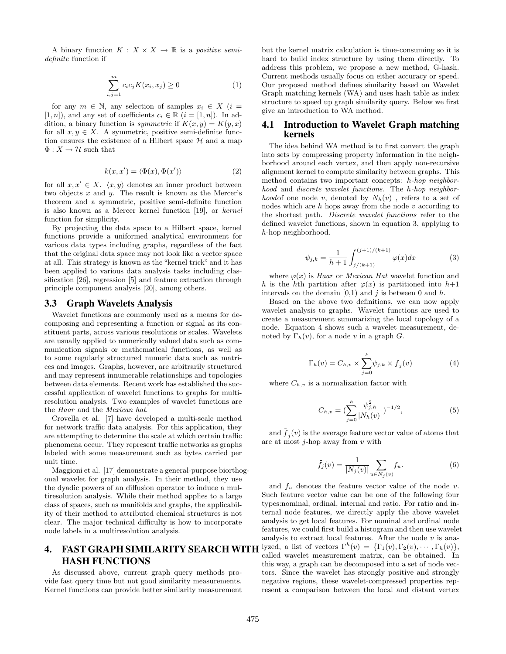A binary function  $K : X \times X \to \mathbb{R}$  is a positive semidefinite function if

$$
\sum_{i,j=1}^{m} c_i c_j K(x_i, x_j) \ge 0
$$
\n<sup>(1)</sup>

for any  $m \in \mathbb{N}$ , any selection of samples  $x_i \in X$  (i = [1, n]), and any set of coefficients  $c_i \in \mathbb{R}$   $(i = [1, n])$ . In addition, a binary function is *symmetric* if  $K(x, y) = K(y, x)$ for all  $x, y \in X$ . A symmetric, positive semi-definite function ensures the existence of a Hilbert space  $H$  and a map  $\Phi:X\to\mathcal{H}$  such that

$$
k(x, x') = \langle \Phi(x), \Phi(x') \rangle \tag{2}
$$

for all  $x, x' \in X$ .  $\langle x, y \rangle$  denotes an inner product between two objects  $x$  and  $y$ . The result is known as the Mercer's theorem and a symmetric, positive semi-definite function is also known as a Mercer kernel function [19], or kernel function for simplicity.

By projecting the data space to a Hilbert space, kernel functions provide a uniformed analytical environment for various data types including graphs, regardless of the fact that the original data space may not look like a vector space at all. This strategy is known as the "kernel trick" and it has been applied to various data analysis tasks including classification [26], regression [5] and feature extraction through principle component analysis [20], among others.

#### 3.3 Graph Wavelets Analysis

Wavelet functions are commonly used as a means for decomposing and representing a function or signal as its constituent parts, across various resolutions or scales. Wavelets are usually applied to numerically valued data such as communication signals or mathematical functions, as well as to some regularly structured numeric data such as matrices and images. Graphs, however, are arbitrarily structured and may represent innumerable relationships and topologies between data elements. Recent work has established the successful application of wavelet functions to graphs for multiresolution analysis. Two examples of wavelet functions are the Haar and the Mexican hat.

Crovella et al. [7] have developed a multi-scale method for network traffic data analysis. For this application, they are attempting to determine the scale at which certain traffic phenomena occur. They represent traffic networks as graphs labeled with some measurement such as bytes carried per unit time.

Maggioni et al. [17] demonstrate a general-purpose biorthogonal wavelet for graph analysis. In their method, they use the dyadic powers of an diffusion operator to induce a multiresolution analysis. While their method applies to a large class of spaces, such as manifolds and graphs, the applicability of their method to attributed chemical structures is not clear. The major technical difficulty is how to incorporate node labels in a multiresolution analysis.

## 4. FAST GRAPH SIMILARITY SEARCH WITH HASH FUNCTIONS

As discussed above, current graph query methods provide fast query time but not good similarity measurements. Kernel functions can provide better similarity measurement but the kernel matrix calculation is time-consuming so it is hard to build index structure by using them directly. To address this problem, we propose a new method, G-hash. Current methods usually focus on either accuracy or speed. Our proposed method defines similarity based on Wavelet Graph matching kernels (WA) and uses hash table as index structure to speed up graph similarity query. Below we first give an introduction to WA method.

## 4.1 Introduction to Wavelet Graph matching kernels

The idea behind WA method is to first convert the graph into sets by compressing property information in the neighborhood around each vertex, and then apply non-recursive alignment kernel to compute similarity between graphs. This method contains two important concepts: h-hop neighborhood and discrete wavelet functions. The h-hop neighbor*hood* one node v, denoted by  $N_h(v)$ , refers to a set of nodes which are  $h$  hops away from the node  $v$  according to the shortest path. Discrete wavelet functions refer to the defined wavelet functions, shown in equation 3, applying to h-hop neighborhood.

$$
\psi_{j,k} = \frac{1}{h+1} \int_{j/(k+1)}^{(j+1)/(k+1)} \varphi(x) dx \tag{3}
$$

where  $\varphi(x)$  is *Haar* or *Mexican Hat* wavelet function and h is the hth partition after  $\varphi(x)$  is partitioned into  $h+1$ intervals on the domain  $[0,1)$  and j is between 0 and h.

Based on the above two definitions, we can now apply wavelet analysis to graphs. Wavelet functions are used to create a measurement summarizing the local topology of a node. Equation 4 shows such a wavelet measurement, denoted by  $\Gamma_h(v)$ , for a node v in a graph G.

$$
\Gamma_h(v) = C_{h,v} \times \sum_{j=0}^k \psi_{j,k} \times \bar{f}_j(v) \tag{4}
$$

where  $C_{h,v}$  is a normalization factor with

$$
C_{h,v} = \left(\sum_{j=0}^{h} \frac{\psi_{j,h}^2}{|N_h(v)|}\right)^{-1/2},\tag{5}
$$

and  $f_j(v)$  is the average feature vector value of atoms that are at most  $j$ -hop away from  $v$  with

$$
\bar{f}_j(v) = \frac{1}{|N_j(v)|} \sum_{u \in N_j(v)} f_u.
$$
\n(6)

and  $f_u$  denotes the feature vector value of the node v. Such feature vector value can be one of the following four types:nominal, ordinal, internal and ratio. For ratio and internal node features, we directly apply the above wavelet analysis to get local features. For nominal and ordinal node features, we could first build a histogram and then use wavelet analysis to extract local features. After the node  $v$  is analyzed, a list of vectors  $\Gamma^h(v) = {\{\Gamma_1(v), \Gamma_2(v), \cdots, \Gamma_h(v)\}},$ called wavelet measurement matrix, can be obtained. In this way, a graph can be decomposed into a set of node vectors. Since the wavelet has strongly positive and strongly negative regions, these wavelet-compressed properties represent a comparison between the local and distant vertex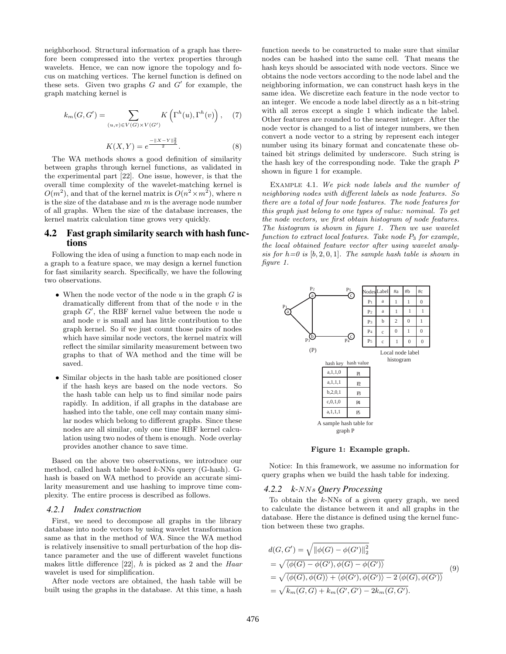neighborhood. Structural information of a graph has therefore been compressed into the vertex properties through wavelets. Hence, we can now ignore the topology and focus on matching vertices. The kernel function is defined on these sets. Given two graphs  $G$  and  $G'$  for example, the graph matching kernel is

$$
k_m(G, G') = \sum_{(u,v)\in V(G)\times V(G')} K\left(\Gamma^h(u), \Gamma^h(v)\right), \quad (7)
$$

$$
K(X, Y) = e^{\frac{-\|X-Y\|_2^2}{2}}.
$$
 (8)

The WA methods shows a good definition of similarity between graphs through kernel functions, as validated in the experimental part [22]. One issue, however, is that the overall time complexity of the wavelet-matching kernel is  $O(m^2)$ , and that of the kernel matrix is  $O(n^2 \times m^2)$ , where n is the size of the database and  $m$  is the average node number of all graphs. When the size of the database increases, the kernel matrix calculation time grows very quickly.

## 4.2 Fast graph similarity search with hash functions

Following the idea of using a function to map each node in a graph to a feature space, we may design a kernel function for fast similarity search. Specifically, we have the following two observations.

- When the node vector of the node  $u$  in the graph  $G$  is dramatically different from that of the node  $v$  in the graph  $G'$ , the RBF kernel value between the node u and node  $v$  is small and has little contribution to the graph kernel. So if we just count those pairs of nodes which have similar node vectors, the kernel matrix will reflect the similar similarity measurement between two graphs to that of WA method and the time will be saved.
- Similar objects in the hash table are positioned closer if the hash keys are based on the node vectors. So the hash table can help us to find similar node pairs rapidly. In addition, if all graphs in the database are hashed into the table, one cell may contain many similar nodes which belong to different graphs. Since these nodes are all similar, only one time RBF kernel calculation using two nodes of them is enough. Node overlay provides another chance to save time.

Based on the above two observations, we introduce our method, called hash table based k-NNs query (G-hash). Ghash is based on WA method to provide an accurate similarity measurement and use hashing to improve time complexity. The entire process is described as follows.

#### *4.2.1 Index construction*

First, we need to decompose all graphs in the library database into node vectors by using wavelet transformation same as that in the method of WA. Since the WA method is relatively insensitive to small perturbation of the hop distance parameter and the use of different wavelet functions makes little difference  $[22]$ , h is picked as 2 and the Haar wavelet is used for simplification.

After node vectors are obtained, the hash table will be built using the graphs in the database. At this time, a hash

function needs to be constructed to make sure that similar nodes can be hashed into the same cell. That means the hash keys should be associated with node vectors. Since we obtains the node vectors according to the node label and the neighboring information, we can construct hash keys in the same idea. We discretize each feature in the node vector to an integer. We encode a node label directly as a n bit-string with all zeros except a single 1 which indicate the label. Other features are rounded to the nearest integer. After the node vector is changed to a list of integer numbers, we then convert a node vector to a string by represent each integer number using its binary format and concatenate these obtained bit strings delimited by underscore. Such string is the hash key of the corresponding node. Take the graph P shown in figure 1 for example.

Example 4.1. We pick node labels and the number of neighboring nodes with different labels as node features. So there are a total of four node features. The node features for this graph just belong to one types of value: nominal. To get the node vectors, we first obtain histogram of node features. The histogram is shown in figure 1. Then we use wavelet function to extract local features. Take node  $P_3$  for example, the local obtained feature vector after using wavelet analysis for  $h=0$  is  $[b, 2, 0, 1]$ . The sample hash table is shown in figure 1.



Figure 1: Example graph.

Notice: In this framework, we assume no information for query graphs when we build the hash table for indexing.

#### *4.2.2 k-*NNs *Query Processing*

To obtain the  $k$ -NNs of a given query graph, we need to calculate the distance between it and all graphs in the database. Here the distance is defined using the kernel function between these two graphs.

$$
d(G, G') = \sqrt{\|\phi(G) - \phi(G')\|_2^2}
$$
  
=  $\sqrt{\langle \phi(G) - \phi(G'), \phi(G) - \phi(G')\rangle}$   
=  $\sqrt{\langle \phi(G), \phi(G)\rangle + \langle \phi(G'), \phi(G')\rangle - 2 \langle \phi(G), \phi(G')\rangle}$   
=  $\sqrt{k_m(G, G) + k_m(G', G') - 2k_m(G, G')}.$  (9)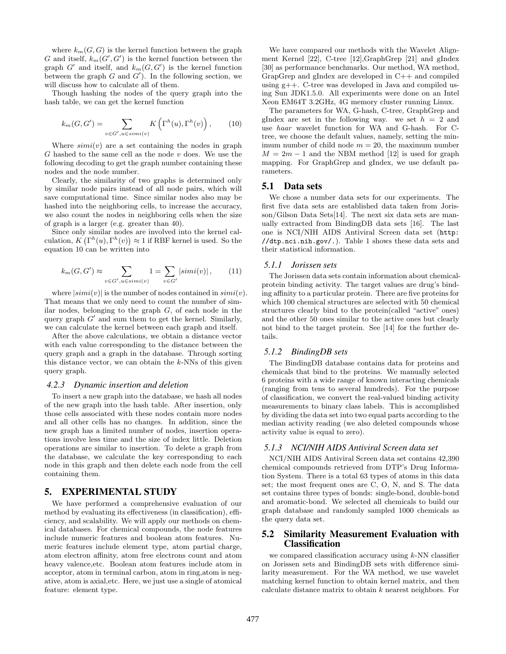where  $k_m(G, G)$  is the kernel function between the graph G and itself,  $k_m(G', G')$  is the kernel function between the graph  $G'$  and itself, and  $k_m(G, G')$  is the kernel function between the graph  $G$  and  $G'$ ). In the following section, we will discuss how to calculate all of them.

Though hashing the nodes of the query graph into the hash table, we can get the kernel function

$$
k_m(G, G') = \sum_{v \in G', u \in sim(i(v))} K\left(\Gamma^h(u), \Gamma^h(v)\right), \qquad (10)
$$

Where  $simi(v)$  are a set containing the nodes in graph  $G$  hashed to the same cell as the node  $v$  does. We use the following decoding to get the graph number containing these nodes and the node number.

Clearly, the similarity of two graphs is determined only by similar node pairs instead of all node pairs, which will save computational time. Since similar nodes also may be hashed into the neighboring cells, to increase the accuracy, we also count the nodes in neighboring cells when the size of graph is a larger (e.g. greater than 40).

Since only similar nodes are involved into the kernel calculation,  $K(\Gamma^h(u), \Gamma^h(v)) \approx 1$  if RBF kernel is used. So the equation 10 can be written into

$$
k_m(G, G') \approx \sum_{v \in G', u \in simi(v)} 1 = \sum_{v \in G'} |simi(v)|, \qquad (11)
$$

where  $|\sin(i\psi)|$  is the number of nodes contained in  $\sin(i\psi)$ . That means that we only need to count the number of similar nodes, belonging to the graph  $G$ , of each node in the query graph  $G'$  and sum them to get the kernel. Similarly, we can calculate the kernel between each graph and itself.

After the above calculations, we obtain a distance vector with each value corresponding to the distance between the query graph and a graph in the database. Through sorting this distance vector, we can obtain the  $k$ -NNs of this given query graph.

#### *4.2.3 Dynamic insertion and deletion*

To insert a new graph into the database, we hash all nodes of the new graph into the hash table. After insertion, only those cells associated with these nodes contain more nodes and all other cells has no changes. In addition, since the new graph has a limited number of nodes, insertion operations involve less time and the size of index little. Deletion operations are similar to insertion. To delete a graph from the database, we calculate the key corresponding to each node in this graph and then delete each node from the cell containing them.

## 5. EXPERIMENTAL STUDY

We have performed a comprehensive evaluation of our method by evaluating its effectiveness (in classification), efficiency, and scalability. We will apply our methods on chemical databases. For chemical compounds, the node features include numeric features and boolean atom features. Numeric features include element type, atom partial charge, atom electron affinity, atom free electrons count and atom heavy valence,etc. Boolean atom features include atom in acceptor, atom in terminal carbon, atom in ring,atom is negative, atom is axial,etc. Here, we just use a single of atomical feature: element type.

We have compared our methods with the Wavelet Alignment Kernel [22], C-tree [12],GraphGrep [21] and gIndex [30] as performance benchmarks. Our method, WA method, GrapGrep and gIndex are developed in C++ and compiled using g++. C-tree was developed in Java and compiled using Sun JDK1.5.0. All experiments were done on an Intel Xeon EM64T 3.2GHz, 4G memory cluster running Linux.

The parameters for WA, G-hash, C-tree, GraphGrep and gIndex are set in the following way. we set  $h = 2$  and use haar wavelet function for WA and G-hash. For Ctree, we choose the default values, namely, setting the minimum number of child node  $m = 20$ , the maximum number  $M = 2m - 1$  and the NBM method [12] is used for graph mapping. For GraphGrep and gIndex, we use default parameters.

#### 5.1 Data sets

We chose a number data sets for our experiments. The first five data sets are established data taken from Jorisson/Gilson Data Sets[14]. The next six data sets are manually extracted from BindingDB data sets [16]. The last one is NCI/NIH AIDS Antiviral Screen data set (http: //dtp.nci.nih.gov/.). Table 1 shows these data sets and their statistical information.

#### *5.1.1 Jorissen sets*

The Jorissen data sets contain information about chemicalprotein binding activity. The target values are drug's binding affinity to a particular protein. There are five proteins for which 100 chemical structures are selected with 50 chemical structures clearly bind to the protein(called "active" ones) and the other 50 ones similar to the active ones but clearly not bind to the target protein. See [14] for the further details.

#### *5.1.2 BindingDB sets*

The BindingDB database contains data for proteins and chemicals that bind to the proteins. We manually selected 6 proteins with a wide range of known interacting chemicals (ranging from tens to several hundreds). For the purpose of classification, we convert the real-valued binding activity measurements to binary class labels. This is accomplished by dividing the data set into two equal parts according to the median activity reading (we also deleted compounds whose activity value is equal to zero).

#### *5.1.3 NCI/NIH AIDS Antiviral Screen data set*

NCI/NIH AIDS Antiviral Screen data set contains 42,390 chemical compounds retrieved from DTP's Drug Information System. There is a total 63 types of atoms in this data set; the most frequent ones are C, O, N, and S. The data set contains three types of bonds: single-bond, double-bond and aromatic-bond. We selected all chemicals to build our graph database and randomly sampled 1000 chemicals as the query data set.

## 5.2 Similarity Measurement Evaluation with Classification

we compared classification accuracy using  $k$ -NN classifier on Jorissen sets and BindingDB sets with difference similarity measurement. For the WA method, we use wavelet matching kernel function to obtain kernel matrix, and then calculate distance matrix to obtain  $k$  nearest neighbors. For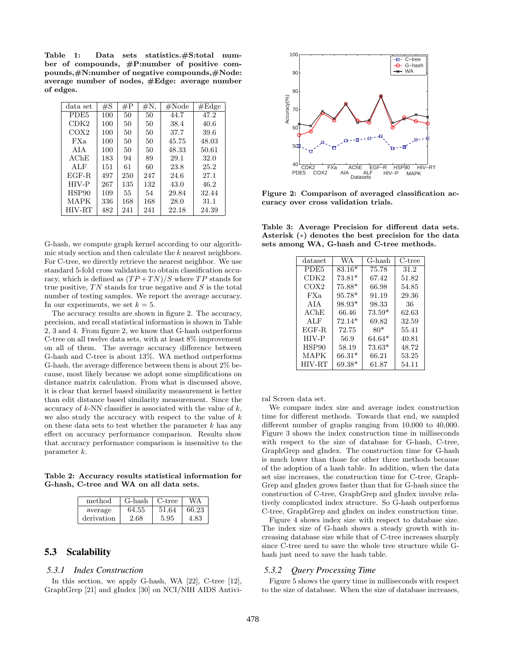Table 1: Data sets statistics.#S:total number of compounds, #P:number of positive compounds,#N:number of negative compounds,#Node: average number of nodes, #Edge: average number of edges.

| data set         | $\#\overline{S}$ | $\#P$ | $\#\mathrm{N},$ | $\#\mathrm{Node}$ | #Edge |
|------------------|------------------|-------|-----------------|-------------------|-------|
| PDE5             | 100              | 50    | 50              | 44.7              | 47.2  |
| CDK <sub>2</sub> | 100              | 50    | 50              | 38.4              | 40.6  |
| COX2             | 100              | 50    | 50              | 37.7              | 39.6  |
| FX <sub>a</sub>  | 100              | 50    | 50              | 45.75             | 48.03 |
| AIA              | 100              | 50    | 50              | 48.33             | 50.61 |
| AChE             | 183              | 94    | 89              | 29.1              | 32.0  |
| ALF              | 151              | 61    | 60              | 23.8              | 25.2  |
| EGF-R            | 497              | 250   | 247             | 24.6              | 27.1  |
| HIV-P            | 267              | 135   | 132             | 43.0              | 46.2  |
| HSP90            | 109              | 55    | 54              | 29.84             | 32.44 |
| MAPK             | 336              | 168   | 168             | 28.0              | 31.1  |
| <b>HIV-RT</b>    | 482              | 241   | 241             | 22.18             | 24.39 |

G-hash, we compute graph kernel according to our algorithmic study section and then calculate the k nearest neighbors. For C-tree, we directly retrieve the nearest neighbor. We use standard 5-fold cross validation to obtain classification accuracy, which is defined as  $(TP + TN)/S$  where TP stands for true positive,  $TN$  stands for true negative and  $S$  is the total number of testing samples. We report the average accuracy. In our experiments, we set  $k = 5$ .

The accuracy results are shown in figure 2. The accuracy, precision, and recall statistical information is shown in Table 2, 3 and 4. From figure 2, we know that G-hash outperforms C-tree on all twelve data sets, with at least 8% improvement on all of them. The average accuracy difference between G-hash and C-tree is about 13%. WA method outperforms G-hash, the average difference between them is about 2% because, most likely because we adopt some simplifications on distance matrix calculation. From what is discussed above, it is clear that kernel based similarity measurement is better than edit distance based similarity measurement. Since the accuracy of  $k$ -NN classifier is associated with the value of  $k$ , we also study the accuracy with respect to the value of  $k$ on these data sets to test whether the parameter  $k$  has any effect on accuracy performance comparison. Results show that accuracy performance comparison is insensitive to the parameter k.

Table 2: Accuracy results statistical information for G-hash, C-tree and WA on all data sets.

| method     | G-hash | C-tree |       |
|------------|--------|--------|-------|
| average    | 64.55  | 51.64  | 66.23 |
| derivation | 2.68   | 5.95   | 4.83  |

## 5.3 Scalability

#### *5.3.1 Index Construction*

In this section, we apply G-hash, WA [22], C-tree [12], GraphGrep [21] and gIndex [30] on NCI/NIH AIDS Antivi-



Figure 2: Comparison of averaged classification accuracy over cross validation trials.

Table 3: Average Precision for different data sets. Asterisk (∗) denotes the best precision for the data sets among WA, G-hash and C-tree methods.

| dataset          | WA.      | G-hash   | C-tree |
|------------------|----------|----------|--------|
| PDE5             | 83.16*   | 75.78    | 31.2   |
| CDK2             | $73.81*$ | 67.42    | 51.82  |
| COX <sub>2</sub> | 75.88*   | 66.98    | 54.85  |
| FX <sub>a</sub>  | 95.78*   | 91.19    | 29.36  |
| AIA              | 98.93*   | 98.33    | 36     |
| AChE             | 66.46    | $73.59*$ | 62.63  |
| ALF              | $72.14*$ | 69.82    | 32.59  |
| $EGF-R$          | 72.75    | 80*      | 55.41  |
| HIV-P            | 56.9     | $64.64*$ | 40.81  |
| HSP90            | 58.19    | $73.63*$ | 48.72  |
| MAPK             | $66.31*$ | 66.21    | 53.25  |
| <b>HIV-RT</b>    | $69.38*$ | 61.87    | 54.11  |

ral Screen data set.

We compare index size and average index construction time for different methods. Towards that end, we sampled different number of graphs ranging from 10,000 to 40,000. Figure 3 shows the index construction time in milliseconds with respect to the size of database for G-hash, C-tree, GraphGrep and gIndex. The construction time for G-hash is much lower than those for other three methods because of the adoption of a hash table. In addition, when the data set size increases, the construction time for C-tree, Graph-Grep and gIndex grows faster than that for G-hash since the construction of C-tree, GraphGrep and gIndex involve relatively complicated index structure. So G-hash outperforms C-tree, GraphGrep and gIndex on index construction time.

Figure 4 shows index size with respect to database size. The index size of G-hash shows a steady growth with increasing database size while that of C-tree increases sharply since C-tree need to save the whole tree structure while Ghash just need to save the hash table.

#### *5.3.2 Query Processing Time*

Figure 5 shows the query time in milliseconds with respect to the size of database. When the size of database increases,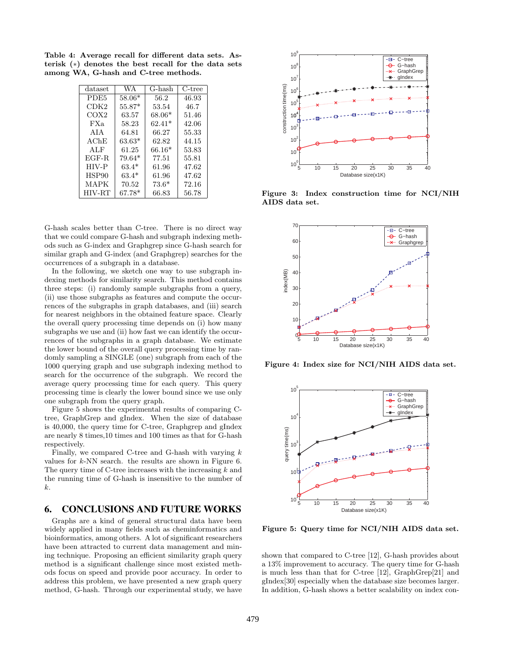Table 4: Average recall for different data sets. Asterisk (∗) denotes the best recall for the data sets among WA, G-hash and C-tree methods.

| dataset         | WA       | G-hash   | $C$ -tree |
|-----------------|----------|----------|-----------|
| PDE5            | $58.06*$ | 56.2     | 46.93     |
| CDK2            | $55.87*$ | 53.54    | 46.7      |
| COX2            | 63.57    | $68.06*$ | 51.46     |
| FX <sub>a</sub> | 58.23    | $62.41*$ | 42.06     |
| AIA             | 64.81    | 66.27    | 55.33     |
| AChE            | $63.63*$ | 62.82    | 44.15     |
| ALF             | 61.25    | $66.16*$ | 53.83     |
| $EGF-R$         | $79.64*$ | 77.51    | 55.81     |
| HIV-P           | $63.4*$  | 61.96    | 47.62     |
| HSP90           | $63.4*$  | 61.96    | 47.62     |
| MAPK            | 70.52    | $73.6*$  | 72.16     |
| HIV-RT          | 67.78*   | 66.83    | 56.78     |

G-hash scales better than C-tree. There is no direct way that we could compare G-hash and subgraph indexing methods such as G-index and Graphgrep since G-hash search for similar graph and G-index (and Graphgrep) searches for the occurrences of a subgraph in a database.

In the following, we sketch one way to use subgraph indexing methods for similarity search. This method contains three steps: (i) randomly sample subgraphs from a query, (ii) use those subgraphs as features and compute the occurrences of the subgraphs in graph databases, and (iii) search for nearest neighbors in the obtained feature space. Clearly the overall query processing time depends on (i) how many subgraphs we use and (ii) how fast we can identify the occurrences of the subgraphs in a graph database. We estimate the lower bound of the overall query processing time by randomly sampling a SINGLE (one) subgraph from each of the 1000 querying graph and use subgraph indexing method to search for the occurrence of the subgraph. We record the average query processing time for each query. This query processing time is clearly the lower bound since we use only one subgraph from the query graph.

Figure 5 shows the experimental results of comparing Ctree, GraphGrep and gIndex. When the size of database is 40,000, the query time for C-tree, Graphgrep and gIndex are nearly 8 times,10 times and 100 times as that for G-hash respectively.

Finally, we compared C-tree and G-hash with varying  $k$ values for k-NN search. the results are shown in Figure 6. The query time of C-tree increases with the increasing k and the running time of G-hash is insensitive to the number of k.

## 6. CONCLUSIONS AND FUTURE WORKS

Graphs are a kind of general structural data have been widely applied in many fields such as cheminformatics and bioinformatics, among others. A lot of significant researchers have been attracted to current data management and mining technique. Proposing an efficient similarity graph query method is a significant challenge since most existed methods focus on speed and provide poor accuracy. In order to address this problem, we have presented a new graph query method, G-hash. Through our experimental study, we have



Figure 3: Index construction time for NCI/NIH AIDS data set.



Figure 4: Index size for NCI/NIH AIDS data set.



Figure 5: Query time for NCI/NIH AIDS data set.

shown that compared to C-tree [12], G-hash provides about a 13% improvement to accuracy. The query time for G-hash is much less than that for C-tree [12], GraphGrep[21] and gIndex[30] especially when the database size becomes larger. In addition, G-hash shows a better scalability on index con-